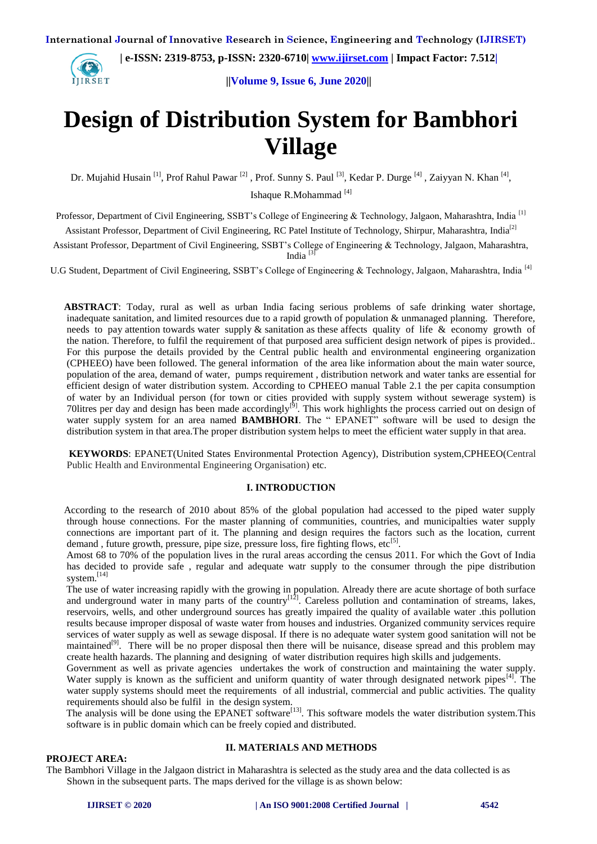**IIRSET** 

 **| e-ISSN: 2319-8753, p-ISSN: 2320-6710| [www.ijirset.com](http://www.ijirset.com/) | Impact Factor: 7.512|**

**||Volume 9, Issue 6, June 2020||**

# **Design of Distribution System for Bambhori Village**

Dr. Mujahid Husain<sup>[1]</sup>, Prof Rahul Pawar<sup>[2]</sup>, Prof. Sunny S. Paul<sup>[3]</sup>, Kedar P. Durge<sup>[4]</sup>, Zaiyyan N. Khan<sup>[4]</sup>, Ishaque R.Mohammad [4]

Professor, Department of Civil Engineering, SSBT's College of Engineering & Technology, Jalgaon, Maharashtra, India<sup>[1]</sup>

Assistant Professor, Department of Civil Engineering, RC Patel Institute of Technology, Shirpur, Maharashtra, India<sup>[2]</sup>

Assistant Professor, Department of Civil Engineering, SSBT's College of Engineering & Technology, Jalgaon, Maharashtra, India  $\frac{3}{3}$ 

U.G Student, Department of Civil Engineering, SSBT's College of Engineering & Technology, Jalgaon, Maharashtra, India [4]

 **ABSTRACT**: Today, rural as well as urban India facing serious problems of safe drinking water shortage, inadequate sanitation, and limited resources due to a rapid growth of population & unmanaged planning. Therefore, needs to pay attention towards water supply  $\&$  sanitation as these affects quality of life  $\&$  economy growth of the nation. Therefore, to fulfil the requirement of that purposed area sufficient design network of pipes is provided.. For this purpose the details provided by the Central public health and environmental engineering organization (CPHEEO) have been followed. The general information of the area like information about the main water source, population of the area, demand of water, pumps requirement , distribution network and water tanks are essential for efficient design of water distribution system. According to CPHEEO manual Table 2.1 the per capita consumption of water by an Individual person (for town or cities provided with supply system without sewerage system) is 70 litres per day and design has been made accordingly<sup>[9]</sup>. This work highlights the process carried out on design of water supply system for an area named **BAMBHORI**. The " EPANET" software will be used to design the distribution system in that area. The proper distribution system helps to meet the efficient water supply in that area.

 **KEYWORDS**: EPANET(United States Environmental Protection Agency), Distribution system,CPHEEO(Central Public Health and Environmental Engineering Organisation) etc.

## **I. INTRODUCTION**

 According to the research of 2010 about 85% of the global population had accessed to the piped water supply through house connections. For the master planning of communities, countries, and municipalties water supply connections are important part of it. The planning and design requires the factors such as the location, current demand, future growth, pressure, pipe size, pressure loss, fire fighting flows, etc<sup>[5]</sup>.

 Amost 68 to 70% of the population lives in the rural areas according the census 2011. For which the Govt of India has decided to provide safe , regular and adequate watr supply to the consumer through the pipe distribution system.<sup>[14]</sup>

 The use of water increasing rapidly with the growing in population. Already there are acute shortage of both surface and underground water in many parts of the country<sup>[12]</sup>. Careless pollution and contamination of streams, lakes, reservoirs, wells, and other underground sources has greatly impaired the quality of available water .this pollution results because improper disposal of waste water from houses and industries. Organized community services require services of water supply as well as sewage disposal. If there is no adequate water system good sanitation will not be maintained<sup>[9]</sup>. There will be no proper disposal then there will be nuisance, disease spread and this problem may create health hazards. The planning and designing of water distribution requires high skills and judgements.

 Government as well as private agencies undertakes the work of construction and maintaining the water supply. Water supply is known as the sufficient and uniform quantity of water through designated network pipes<sup>[4]</sup>. The water supply systems should meet the requirements of all industrial, commercial and public activities. The quality requirements should also be fulfil in the design system.

The analysis will be done using the EPANET software<sup>[13]</sup>. This software models the water distribution system.This  $\frac{1}{2}$ software is in public domain which can be freely copied and distributed.

#### **PROJECT AREA:**

### **II. MATERIALS AND METHODS**

The Bambhori Village in the Jalgaon district in Maharashtra is selected as the study area and the data collected is as Shown in the subsequent parts. The maps derived for the village is as shown below: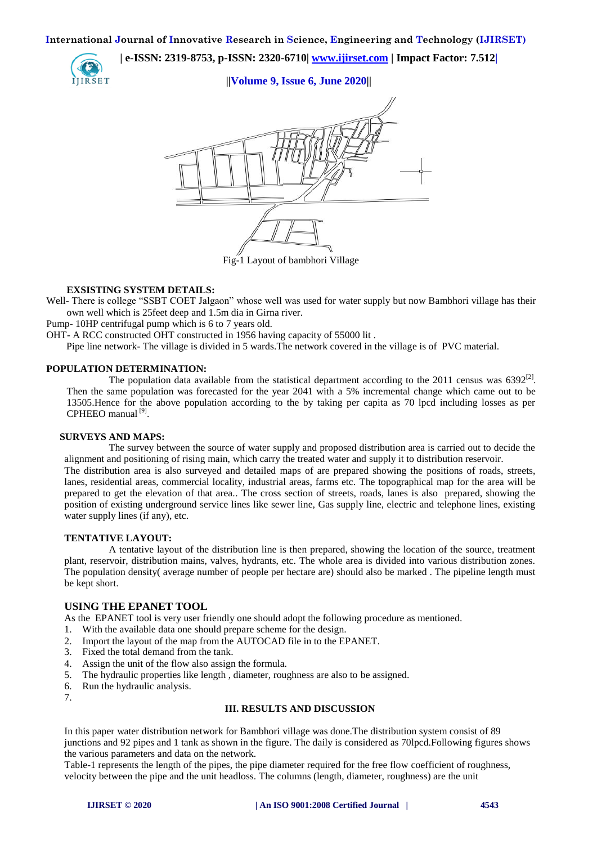**| e-ISSN: 2319-8753, p-ISSN: 2320-6710| [www.ijirset.com](http://www.ijirset.com/) | Impact Factor: 7.512|**

**||Volume 9, Issue 6, June 2020||**



Fig-1 Layout of bambhori Village

## **EXSISTING SYSTEM DETAILS:**

Well- There is college "SSBT COET Jalgaon" whose well was used for water supply but now Bambhori village has their own well which is 25feet deep and 1.5m dia in Girna river.

Pump- 10HP centrifugal pump which is 6 to 7 years old.

OHT- A RCC constructed OHT constructed in 1956 having capacity of 55000 lit .

Pipe line network- The village is divided in 5 wards.The network covered in the village is of PVC material.

## **POPULATION DETERMINATION:**

The population data available from the statistical department according to the 2011 census was  $6392^{[2]}$ . Then the same population was forecasted for the year 2041 with a 5% incremental change which came out to be 13505.Hence for the above population according to the by taking per capita as 70 lpcd including losses as per CPHEEO manual<sup>[9]</sup>.

## **SURVEYS AND MAPS:**

The survey between the source of water supply and proposed distribution area is carried out to decide the alignment and positioning of rising main, which carry the treated water and supply it to distribution reservoir.

The distribution area is also surveyed and detailed maps of are prepared showing the positions of roads, streets, lanes, residential areas, commercial locality, industrial areas, farms etc. The topographical map for the area will be prepared to get the elevation of that area.. The cross section of streets, roads, lanes is also prepared, showing the position of existing underground service lines like sewer line, Gas supply line, electric and telephone lines, existing water supply lines (if any), etc.

## **TENTATIVE LAYOUT:**

A tentative layout of the distribution line is then prepared, showing the location of the source, treatment plant, reservoir, distribution mains, valves, hydrants, etc. The whole area is divided into various distribution zones. The population density( average number of people per hectare are) should also be marked . The pipeline length must be kept short.

## **USING THE EPANET TOOL**

As the EPANET tool is very user friendly one should adopt the following procedure as mentioned.

- 1. With the available data one should prepare scheme for the design.
- 2. Import the layout of the map from the AUTOCAD file in to the EPANET.
- 3. Fixed the total demand from the tank.
- 4. Assign the unit of the flow also assign the formula.
- 5. The hydraulic properties like length , diameter, roughness are also to be assigned.
- 6. Run the hydraulic analysis.
- 7.

## **III. RESULTS AND DISCUSSION**

In this paper water distribution network for Bambhori village was done.The distribution system consist of 89 junctions and 92 pipes and 1 tank as shown in the figure. The daily is considered as 70lpcd.Following figures shows the various parameters and data on the network.

Table-1 represents the length of the pipes, the pipe diameter required for the free flow coefficient of roughness, velocity between the pipe and the unit headloss. The columns (length, diameter, roughness) are the unit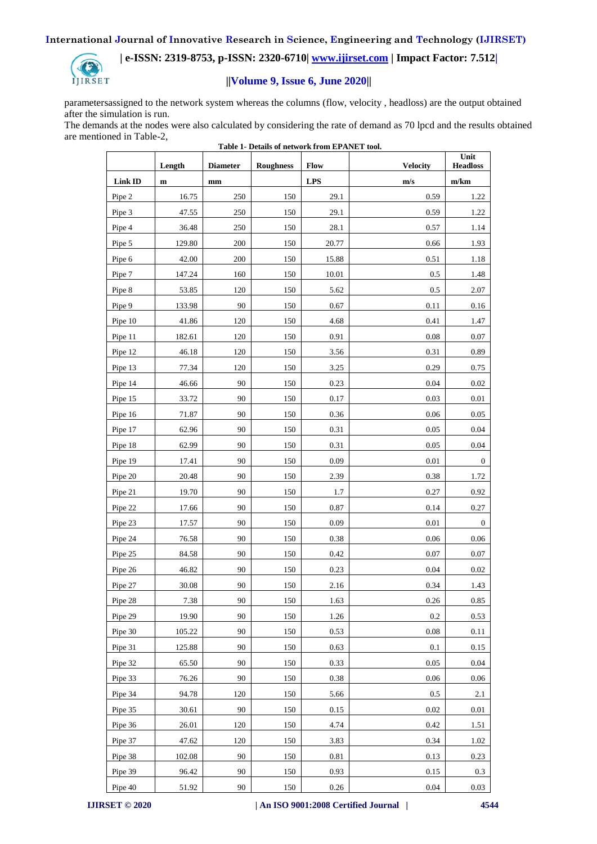

## **| e-ISSN: 2319-8753, p-ISSN: 2320-6710| [www.ijirset.com](http://www.ijirset.com/) | Impact Factor: 7.512|**

## **||Volume 9, Issue 6, June 2020||**

parametersassigned to the network system whereas the columns (flow, velocity , headloss) are the output obtained after the simulation is run.

The demands at the nodes were also calculated by considering the rate of demand as 70 lpcd and the results obtained are mentioned in Table-2,

|                | Length       | <b>Diameter</b> | Lable 1- Details of helwork from El Arve I tool.<br><b>Roughness</b> | Flow       | <b>Velocity</b> | Unit<br><b>Headloss</b> |
|----------------|--------------|-----------------|----------------------------------------------------------------------|------------|-----------------|-------------------------|
| <b>Link ID</b> | $\mathbf{m}$ | mm              |                                                                      | <b>LPS</b> | m/s             | m/km                    |
| Pipe 2         | 16.75        | 250             | 150                                                                  | 29.1       | 0.59            | 1.22                    |
| Pipe 3         | 47.55        | 250             | 150                                                                  | 29.1       | 0.59            | 1.22                    |
| Pipe 4         | 36.48        | 250             | 150                                                                  | 28.1       | 0.57            | 1.14                    |
| Pipe 5         | 129.80       | 200             | 150                                                                  | 20.77      | 0.66            | 1.93                    |
| Pipe 6         | 42.00        | 200             | 150                                                                  | 15.88      | 0.51            | 1.18                    |
| Pipe 7         | 147.24       | 160             | 150                                                                  | 10.01      | 0.5             | 1.48                    |
| Pipe 8         | 53.85        | 120             | 150                                                                  | 5.62       | 0.5             | 2.07                    |
| Pipe 9         | 133.98       | 90              | 150                                                                  | 0.67       | 0.11            | 0.16                    |
| Pipe 10        | 41.86        | 120             | 150                                                                  | 4.68       | 0.41            | 1.47                    |
| Pipe 11        | 182.61       | 120             | 150                                                                  | 0.91       | 0.08            | 0.07                    |
| Pipe 12        | 46.18        | 120             | 150                                                                  | 3.56       | 0.31            | 0.89                    |
| Pipe 13        | 77.34        | 120             | 150                                                                  | 3.25       | 0.29            | 0.75                    |
| Pipe 14        | 46.66        | 90              | 150                                                                  | 0.23       | 0.04            | 0.02                    |
| Pipe 15        | 33.72        | 90              | 150                                                                  | 0.17       | 0.03            | 0.01                    |
| Pipe 16        | 71.87        | 90              | 150                                                                  | 0.36       | 0.06            | 0.05                    |
| Pipe 17        | 62.96        | 90              | 150                                                                  | 0.31       | 0.05            | 0.04                    |
| Pipe 18        | 62.99        | 90              | 150                                                                  | 0.31       | 0.05            | 0.04                    |
| Pipe 19        | 17.41        | 90              | 150                                                                  | 0.09       | 0.01            | $\boldsymbol{0}$        |
| Pipe 20        | 20.48        | 90              | 150                                                                  | 2.39       | 0.38            | 1.72                    |
| Pipe 21        | 19.70        | 90              | 150                                                                  | 1.7        | 0.27            | 0.92                    |
| Pipe 22        | 17.66        | 90              | 150                                                                  | 0.87       | 0.14            | 0.27                    |
| Pipe 23        | 17.57        | 90              | 150                                                                  | 0.09       | 0.01            | $\boldsymbol{0}$        |
| Pipe 24        | 76.58        | 90              | 150                                                                  | 0.38       | 0.06            | 0.06                    |
| Pipe 25        | 84.58        | 90              | 150                                                                  | 0.42       | 0.07            | 0.07                    |
| Pipe 26        | 46.82        | 90              | 150                                                                  | 0.23       | 0.04            | 0.02                    |
| Pipe 27        | 30.08        | 90              | 150                                                                  | 2.16       | 0.34            | 1.43                    |
| Pipe 28        | 7.38         | 90              | 150                                                                  | 1.63       | 0.26            | 0.85                    |
| Pipe 29        | 19.90        | 90              | 150                                                                  | 1.26       | 0.2             | 0.53                    |
| Pipe 30        | 105.22       | 90              | 150                                                                  | 0.53       | 0.08            | 0.11                    |
| Pipe 31        | 125.88       | 90              | 150                                                                  | 0.63       | 0.1             | 0.15                    |
| Pipe 32        | 65.50        | 90              | 150                                                                  | 0.33       | 0.05            | 0.04                    |
| Pipe 33        | 76.26        | 90              | 150                                                                  | 0.38       | 0.06            | 0.06                    |
| Pipe 34        | 94.78        | 120             | 150                                                                  | 5.66       | 0.5             | 2.1                     |
| Pipe 35        | 30.61        | 90              | 150                                                                  | 0.15       | 0.02            | 0.01                    |
| Pipe 36        | 26.01        | 120             | 150                                                                  | 4.74       | 0.42            | 1.51                    |
| Pipe 37        | 47.62        | 120             | 150                                                                  | 3.83       | 0.34            | 1.02                    |
| Pipe 38        | 102.08       | 90              | 150                                                                  | 0.81       | 0.13            | 0.23                    |
| Pipe 39        | 96.42        | 90              | 150                                                                  | 0.93       | 0.15            | 0.3                     |
| Pipe 40        | 51.92        | 90              | 150                                                                  | 0.26       | 0.04            | 0.03                    |

**Table 1- Details of network from EPANET tool.**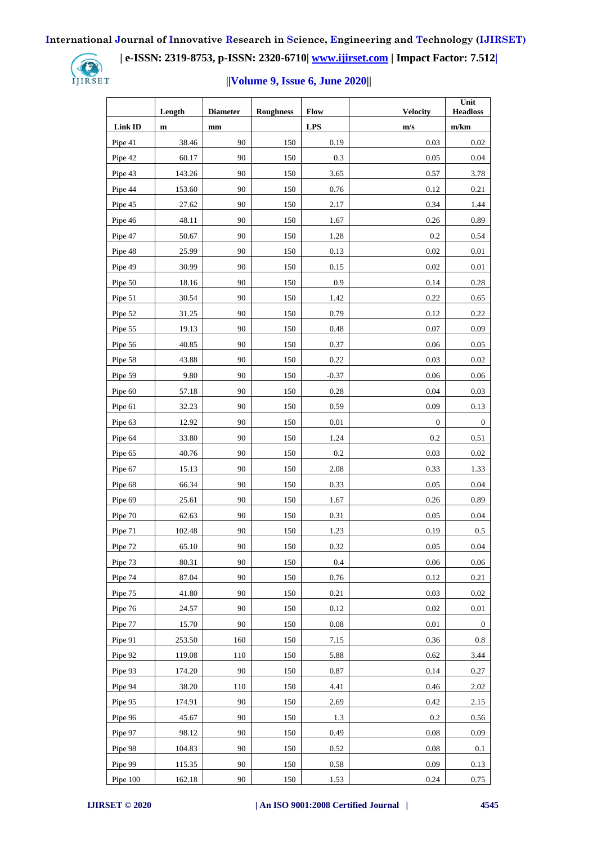

 **| e-ISSN: 2319-8753, p-ISSN: 2320-6710| [www.ijirset.com](http://www.ijirset.com/) | Impact Factor: 7.512|**

## **||Volume 9, Issue 6, June 2020||**

|          | Length      | <b>Diameter</b> | <b>Roughness</b> | Flow       | <b>Velocity</b>  | Unit<br><b>Headloss</b> |
|----------|-------------|-----------------|------------------|------------|------------------|-------------------------|
| Link ID  | $\mathbf m$ | mm              |                  | <b>LPS</b> | m/s              | m/km                    |
| Pipe 41  | 38.46       | 90              | 150              | 0.19       | 0.03             | 0.02                    |
| Pipe 42  | 60.17       | 90              | 150              | 0.3        | 0.05             | 0.04                    |
| Pipe 43  | 143.26      | 90              | 150              | 3.65       | 0.57             | 3.78                    |
| Pipe 44  | 153.60      | 90              | 150              | 0.76       | 0.12             | 0.21                    |
| Pipe 45  | 27.62       | 90              | 150              | 2.17       | 0.34             | 1.44                    |
| Pipe 46  | 48.11       | 90              | 150              | 1.67       | 0.26             | 0.89                    |
| Pipe 47  | 50.67       | 90              | 150              | 1.28       | 0.2              | 0.54                    |
| Pipe 48  | 25.99       | 90              | 150              | 0.13       | 0.02             | 0.01                    |
| Pipe 49  | 30.99       | 90              | 150              | 0.15       | 0.02             | 0.01                    |
| Pipe 50  | 18.16       | 90              | 150              | 0.9        | 0.14             | 0.28                    |
| Pipe 51  | 30.54       | 90              | 150              | 1.42       | 0.22             | 0.65                    |
| Pipe 52  | 31.25       | 90              | 150              | 0.79       | 0.12             | 0.22                    |
| Pipe 55  | 19.13       | 90              | 150              | 0.48       | 0.07             | 0.09                    |
| Pipe 56  | 40.85       | 90              | 150              | 0.37       | 0.06             | 0.05                    |
| Pipe 58  | 43.88       | 90              | 150              | 0.22       | 0.03             | 0.02                    |
| Pipe 59  | 9.80        | 90              | 150              | $-0.37$    | 0.06             | 0.06                    |
| Pipe 60  | 57.18       | 90              | 150              | 0.28       | 0.04             | 0.03                    |
| Pipe 61  | 32.23       | 90              | 150              | 0.59       | 0.09             | 0.13                    |
| Pipe 63  | 12.92       | 90              | 150              | 0.01       | $\boldsymbol{0}$ | $\boldsymbol{0}$        |
| Pipe 64  | 33.80       | 90              | 150              | 1.24       | 0.2              | 0.51                    |
| Pipe 65  | 40.76       | 90              | 150              | 0.2        | 0.03             | 0.02                    |
| Pipe 67  | 15.13       | 90              | 150              | 2.08       | 0.33             | 1.33                    |
| Pipe 68  | 66.34       | 90              | 150              | 0.33       | 0.05             | 0.04                    |
| Pipe 69  | 25.61       | 90              | 150              | 1.67       | 0.26             | 0.89                    |
| Pipe 70  | 62.63       | 90              | 150              | 0.31       | 0.05             | 0.04                    |
| Pipe 71  | 102.48      | 90              | 150              | 1.23       | 0.19             | 0.5                     |
| Pipe 72  | 65.10       | $90\,$          | 150              | 0.32       | $0.05\,$         | $0.04\,$                |
| Pipe 73  | 80.31       | 90              | 150              | 0.4        | 0.06             | 0.06                    |
| Pipe 74  | 87.04       | 90              | 150              | 0.76       | 0.12             | 0.21                    |
| Pipe 75  | 41.80       | 90              | 150              | 0.21       | 0.03             | 0.02                    |
| Pipe 76  | 24.57       | 90              | 150              | 0.12       | 0.02             | $0.01\,$                |
| Pipe 77  | 15.70       | 90              | 150              | 0.08       | 0.01             | $\boldsymbol{0}$        |
| Pipe 91  | 253.50      | 160             | 150              | 7.15       | 0.36             | 0.8                     |
| Pipe 92  | 119.08      | 110             | 150              | 5.88       | 0.62             | 3.44                    |
| Pipe 93  | 174.20      | 90              | 150              | 0.87       | 0.14             | 0.27                    |
| Pipe 94  | 38.20       | 110             | 150              | 4.41       | 0.46             | 2.02                    |
| Pipe 95  | 174.91      | 90              | 150              | 2.69       | 0.42             | 2.15                    |
| Pipe 96  | 45.67       | 90              | 150              | 1.3        | 0.2              | 0.56                    |
| Pipe 97  | 98.12       | 90              | 150              | 0.49       | 0.08             | 0.09                    |
| Pipe 98  | 104.83      | 90              | 150              | 0.52       | 0.08             | 0.1                     |
| Pipe 99  | 115.35      | 90              | 150              | 0.58       | 0.09             | 0.13                    |
| Pipe 100 | 162.18      | 90              | 150              | 1.53       | 0.24             | 0.75                    |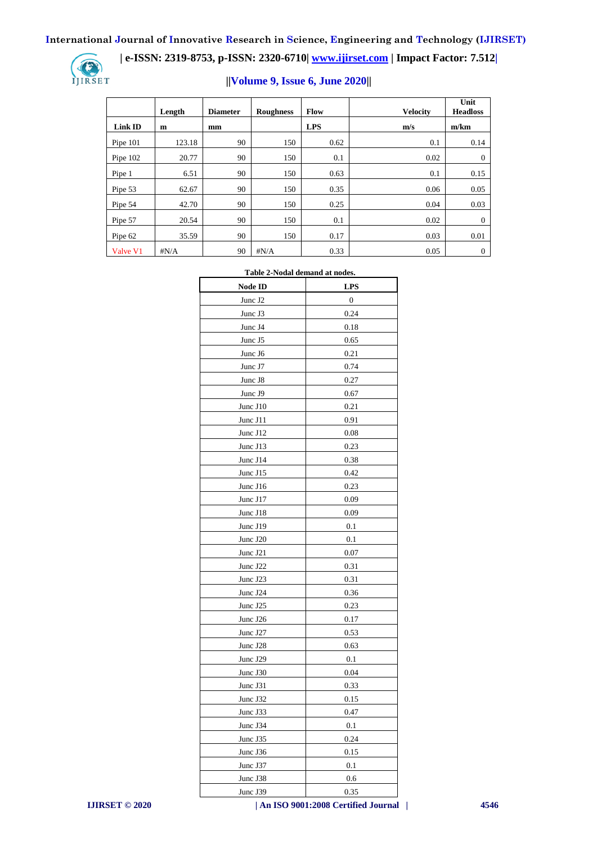IJIRSET

## **| e-ISSN: 2319-8753, p-ISSN: 2320-6710| [www.ijirset.com](http://www.ijirset.com/) | Impact Factor: 7.512|**

## **||Volume 9, Issue 6, June 2020||**

|                | Length       | <b>Diameter</b> | <b>Roughness</b> | Flow       | <b>Velocity</b> | Unit<br><b>Headloss</b> |
|----------------|--------------|-----------------|------------------|------------|-----------------|-------------------------|
| <b>Link ID</b> | m            | mm              |                  | <b>LPS</b> | m/s             | m/km                    |
| Pipe $101$     | 123.18       | 90              | 150              | 0.62       | 0.1             | 0.14                    |
| Pipe 102       | 20.77        | 90              | 150              | 0.1        | 0.02            | $\theta$                |
| Pipe 1         | 6.51         | 90              | 150              | 0.63       | 0.1             | 0.15                    |
| Pipe 53        | 62.67        | 90              | 150              | 0.35       | 0.06            | 0.05                    |
| Pipe 54        | 42.70        | 90              | 150              | 0.25       | 0.04            | 0.03                    |
| Pipe 57        | 20.54        | 90              | 150              | 0.1        | 0.02            | $\theta$                |
| Pipe 62        | 35.59        | 90              | 150              | 0.17       | 0.03            | 0.01                    |
| Valve V1       | $\sharp N/A$ | 90              | $\sharp N/A$     | 0.33       | 0.05            | $\theta$                |

#### **Table 2-Nodal demand at nodes.**

| Node ID  | <b>LPS</b>       |
|----------|------------------|
| Junc J2  | $\boldsymbol{0}$ |
| Junc J3  | 0.24             |
| Junc J4  | 0.18             |
| Junc J5  | 0.65             |
| Junc J6  | 0.21             |
| Junc J7  | 0.74             |
| Junc J8  | 0.27             |
| Junc J9  | 0.67             |
| Junc J10 | 0.21             |
| Junc J11 | 0.91             |
| Junc J12 | 0.08             |
| Junc J13 | 0.23             |
| Junc J14 | 0.38             |
| Junc J15 | 0.42             |
| Junc J16 | 0.23             |
| Junc J17 | 0.09             |
| Junc J18 | 0.09             |
| Junc J19 | 0.1              |
| Junc J20 | 0.1              |
| Junc J21 | 0.07             |
| Junc J22 | 0.31             |
| Junc J23 | 0.31             |
| Junc J24 | 0.36             |
| Junc J25 | 0.23             |
| Junc J26 | 0.17             |
| Junc J27 | 0.53             |
| Junc J28 | 0.63             |
| Junc J29 | 0.1              |
| Junc J30 | 0.04             |
| Junc J31 | 0.33             |
| Junc J32 | 0.15             |
| Junc J33 | 0.47             |
| Junc J34 | 0.1              |
| June J35 | 0.24             |
| Junc J36 | 0.15             |
| Junc J37 | 0.1              |
| Junc J38 | 0.6              |
| Junc J39 | 0.35             |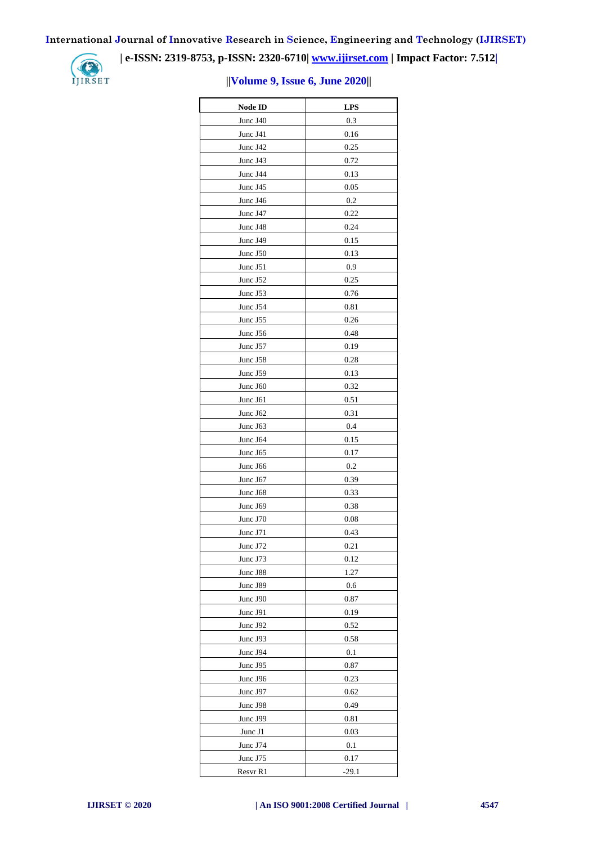IJIRSET

## **| e-ISSN: 2319-8753, p-ISSN: 2320-6710| [www.ijirset.com](http://www.ijirset.com/) | Impact Factor: 7.512|**

## **||Volume 9, Issue 6, June 2020||**

| <b>Node ID</b> | <b>LPS</b>  |
|----------------|-------------|
| Junc J40       | 0.3         |
| Junc J41       | 0.16        |
| Junc J42       | 0.25        |
| Junc J43       | 0.72        |
| Junc J44       | 0.13        |
| Junc J45       | 0.05        |
| Junc J46       | 0.2         |
| Junc J47       | 0.22        |
| Junc J48       | 0.24        |
| Junc J49       | 0.15        |
| Junc J50       | 0.13        |
| Junc J51       | 0.9         |
| Junc J52       | 0.25        |
| Junc J53       | 0.76        |
| Junc J54       | 0.81        |
| Junc J55       | 0.26        |
| Junc J56       | 0.48        |
| Junc J57       | 0.19        |
| Junc J58       | 0.28        |
| Junc J59       | 0.13        |
| Junc J60       | 0.32        |
| Junc J61       | 0.51        |
| Junc J62       | 0.31        |
| Junc J63       | 0.4         |
| Junc J64       | 0.15        |
| Junc J65       | 0.17        |
| Junc J66       | 0.2         |
| Junc J67       | 0.39        |
| Junc J68       | 0.33        |
| Junc J69       | 0.38        |
| Junc J70       | 0.08        |
| Junc J71       | 0.43        |
| June 172       | 0.21        |
| Junc J73       | 0.12        |
| Junc J88       | 1.27        |
| Junc J89       | 0.6         |
| Junc J90       | 0.87        |
| Junc J91       | 0.19        |
| Junc J92       | 0.52        |
| Junc J93       | 0.58        |
| Junc J94       |             |
| Junc J95       | 0.1<br>0.87 |
| Junc J96       | 0.23        |
| Junc J97       | 0.62        |
| Junc J98       | 0.49        |
|                |             |
| Junc J99       | 0.81        |
| Junc J1        | 0.03        |
| Junc J74       | 0.1         |
| Junc J75       | 0.17        |
| Resvr R1       | $-29.1$     |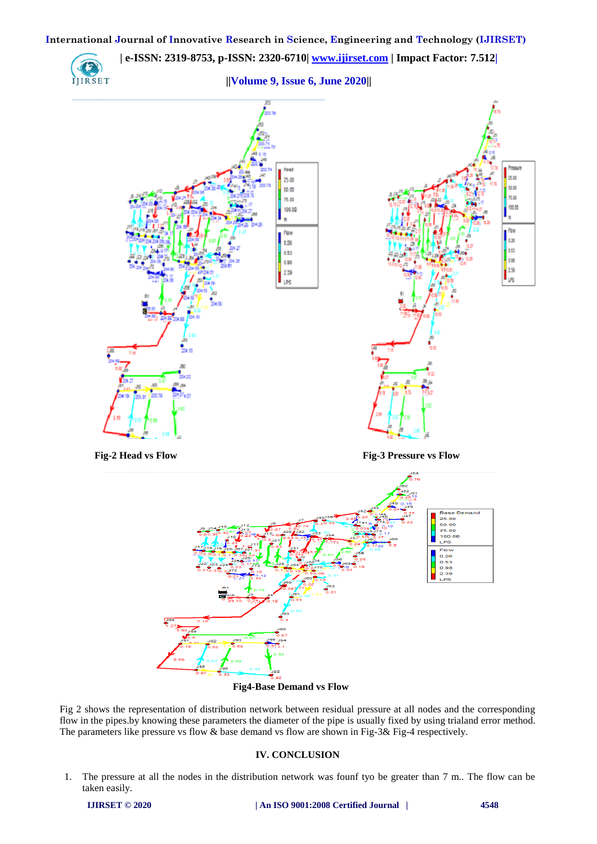

 **Fig4-Base Demand vs Flow**

Fig 2 shows the representation of distribution network between residual pressure at all nodes and the corresponding flow in the pipes.by knowing these parameters the diameter of the pipe is usually fixed by using trialand error method. The parameters like pressure vs flow & base demand vs flow are shown in Fig-3& Fig-4 respectively.

## **IV. CONCLUSION**

1. The pressure at all the nodes in the distribution network was founf tyo be greater than 7 m.. The flow can be taken easily.